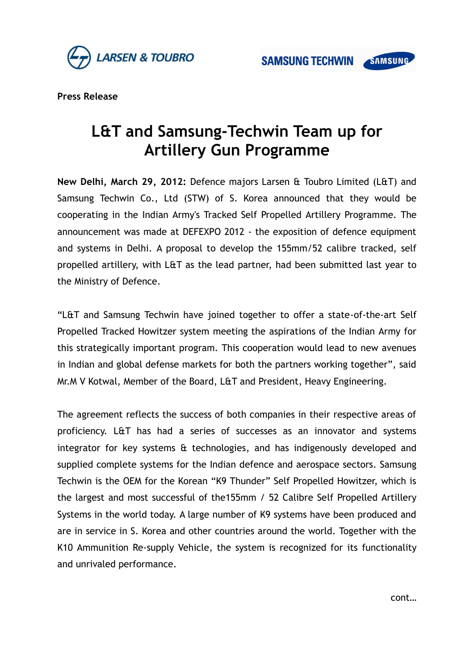

**Press Release**

## **L&T and Samsung-Techwin Team up for Artillery Gun Programme**

**New Delhi, March 29, 2012:** Defence majors Larsen & Toubro Limited (L&T) and Samsung Techwin Co., Ltd (STW) of S. Korea announced that they would be cooperating in the Indian Army's Tracked Self Propelled Artillery Programme. The announcement was made at DEFEXPO 2012 - the exposition of defence equipment and systems in Delhi. A proposal to develop the 155mm/52 calibre tracked, self propelled artillery, with L&T as the lead partner, had been submitted last year to the Ministry of Defence.

"L&T and Samsung Techwin have joined together to offer a state-of-the-art Self Propelled Tracked Howitzer system meeting the aspirations of the Indian Army for this strategically important program. This cooperation would lead to new avenues in Indian and global defense markets for both the partners working together", said Mr.M V Kotwal, Member of the Board, L&T and President, Heavy Engineering.

The agreement reflects the success of both companies in their respective areas of proficiency. L&T has had a series of successes as an innovator and systems integrator for key systems & technologies, and has indigenously developed and supplied complete systems for the Indian defence and aerospace sectors. Samsung Techwin is the OEM for the Korean "K9 Thunder" Self Propelled Howitzer, which is the largest and most successful of the155mm / 52 Calibre Self Propelled Artillery Systems in the world today. A large number of K9 systems have been produced and are in service in S. Korea and other countries around the world. Together with the K10 Ammunition Re-supply Vehicle, the system is recognized for its functionality and unrivaled performance.